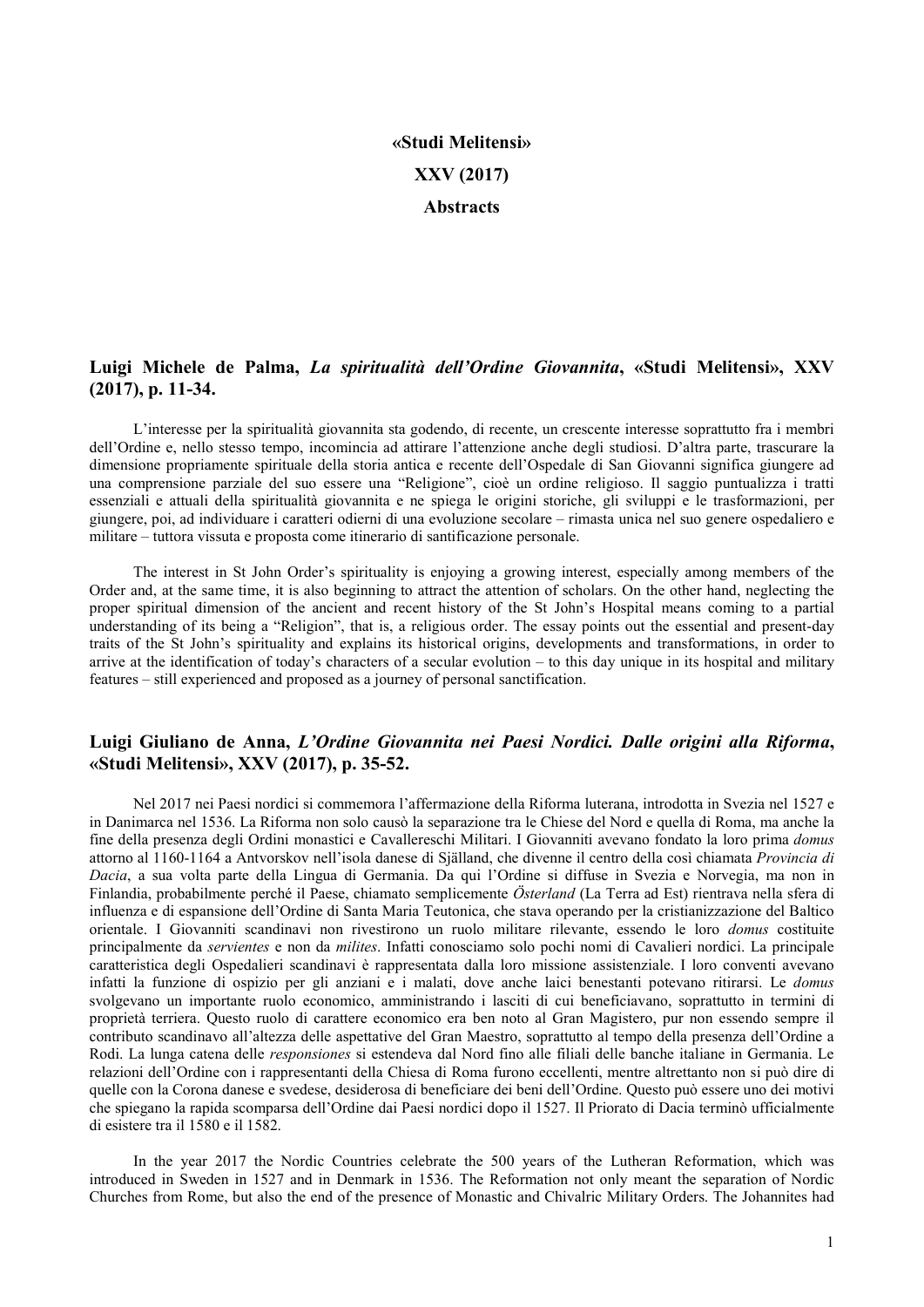# «Studi Melitensi» XXV (2017) Abstracts

## Luigi Michele de Palma, La spiritualità dell'Ordine Giovannita, «Studi Melitensi», XXV (2017), p. 11-34.

L'interesse per la spiritualità giovannita sta godendo, di recente, un crescente interesse soprattutto fra i membri dell'Ordine e, nello stesso tempo, incomincia ad attirare l'attenzione anche degli studiosi. D'altra parte, trascurare la dimensione propriamente spirituale della storia antica e recente dell'Ospedale di San Giovanni significa giungere ad una comprensione parziale del suo essere una "Religione", cioè un ordine religioso. Il saggio puntualizza i tratti essenziali e attuali della spiritualità giovannita e ne spiega le origini storiche, gli sviluppi e le trasformazioni, per giungere, poi, ad individuare i caratteri odierni di una evoluzione secolare – rimasta unica nel suo genere ospedaliero e militare – tuttora vissuta e proposta come itinerario di santificazione personale.

The interest in St John Order's spirituality is enjoying a growing interest, especially among members of the Order and, at the same time, it is also beginning to attract the attention of scholars. On the other hand, neglecting the proper spiritual dimension of the ancient and recent history of the St John's Hospital means coming to a partial understanding of its being a "Religion", that is, a religious order. The essay points out the essential and present-day traits of the St John's spirituality and explains its historical origins, developments and transformations, in order to arrive at the identification of today's characters of a secular evolution – to this day unique in its hospital and military features – still experienced and proposed as a journey of personal sanctification.

#### Luigi Giuliano de Anna, L'Ordine Giovannita nei Paesi Nordici. Dalle origini alla Riforma, «Studi Melitensi», XXV (2017), p. 35-52.

Nel 2017 nei Paesi nordici si commemora l'affermazione della Riforma luterana, introdotta in Svezia nel 1527 e in Danimarca nel 1536. La Riforma non solo causò la separazione tra le Chiese del Nord e quella di Roma, ma anche la fine della presenza degli Ordini monastici e Cavallereschi Militari. I Giovanniti avevano fondato la loro prima domus attorno al 1160-1164 a Antvorskov nell'isola danese di Själland, che divenne il centro della così chiamata Provincia di Dacia, a sua volta parte della Lingua di Germania. Da qui l'Ordine si diffuse in Svezia e Norvegia, ma non in Finlandia, probabilmente perché il Paese, chiamato semplicemente Österland (La Terra ad Est) rientrava nella sfera di influenza e di espansione dell'Ordine di Santa Maria Teutonica, che stava operando per la cristianizzazione del Baltico orientale. I Giovanniti scandinavi non rivestirono un ruolo militare rilevante, essendo le loro domus costituite principalmente da servientes e non da milites. Infatti conosciamo solo pochi nomi di Cavalieri nordici. La principale caratteristica degli Ospedalieri scandinavi è rappresentata dalla loro missione assistenziale. I loro conventi avevano infatti la funzione di ospizio per gli anziani e i malati, dove anche laici benestanti potevano ritirarsi. Le domus svolgevano un importante ruolo economico, amministrando i lasciti di cui beneficiavano, soprattutto in termini di proprietà terriera. Questo ruolo di carattere economico era ben noto al Gran Magistero, pur non essendo sempre il contributo scandinavo all'altezza delle aspettative del Gran Maestro, soprattutto al tempo della presenza dell'Ordine a Rodi. La lunga catena delle *responsiones* si estendeva dal Nord fino alle filiali delle banche italiane in Germania. Le relazioni dell'Ordine con i rappresentanti della Chiesa di Roma furono eccellenti, mentre altrettanto non si può dire di quelle con la Corona danese e svedese, desiderosa di beneficiare dei beni dell'Ordine. Questo può essere uno dei motivi che spiegano la rapida scomparsa dell'Ordine dai Paesi nordici dopo il 1527. Il Priorato di Dacia terminò ufficialmente di esistere tra il 1580 e il 1582.

In the year 2017 the Nordic Countries celebrate the 500 years of the Lutheran Reformation, which was introduced in Sweden in 1527 and in Denmark in 1536. The Reformation not only meant the separation of Nordic Churches from Rome, but also the end of the presence of Monastic and Chivalric Military Orders. The Johannites had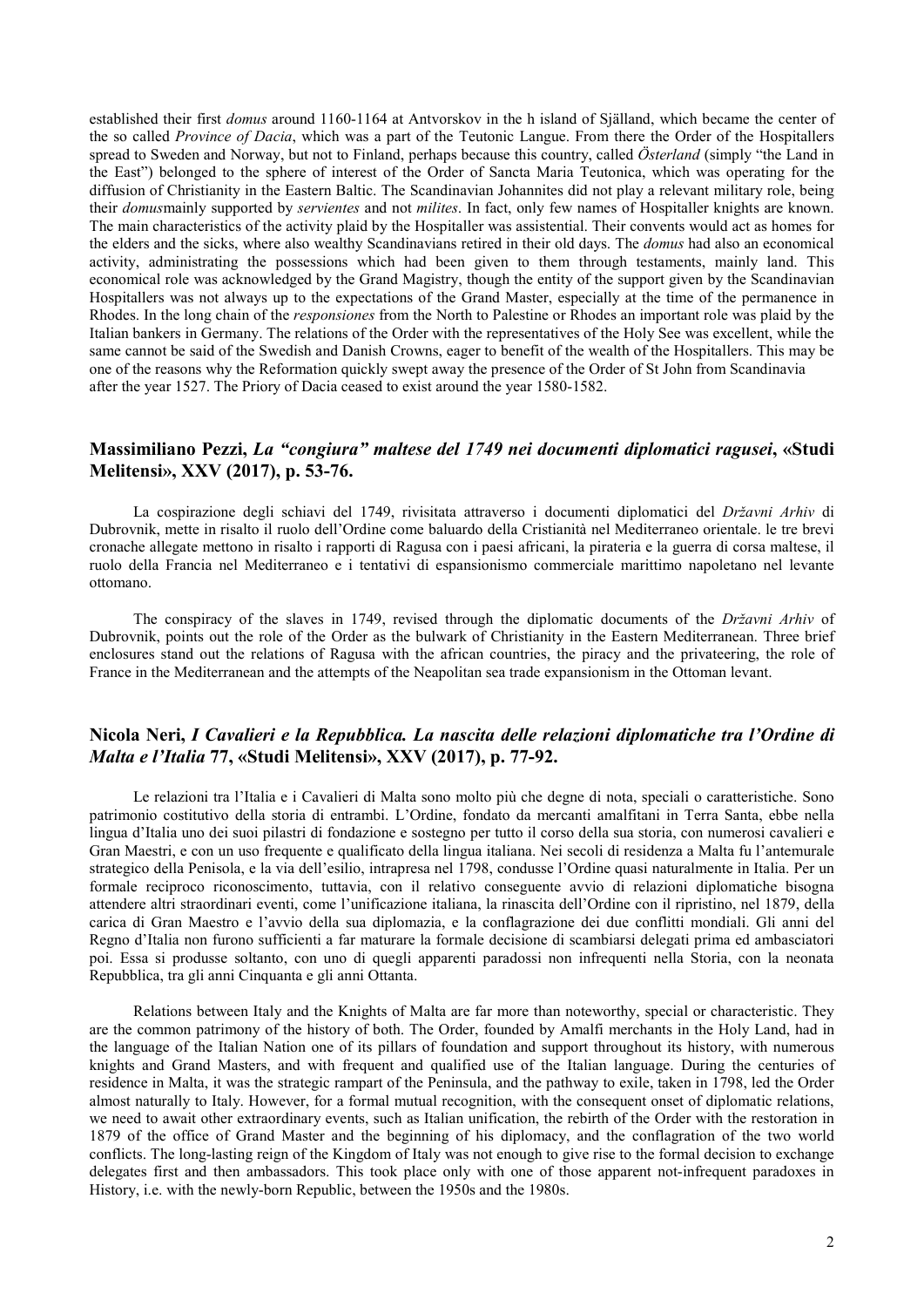established their first *domus* around 1160-1164 at Antvorskov in the h island of Själland, which became the center of the so called Province of Dacia, which was a part of the Teutonic Langue. From there the Order of the Hospitallers spread to Sweden and Norway, but not to Finland, perhaps because this country, called Österland (simply "the Land in the East") belonged to the sphere of interest of the Order of Sancta Maria Teutonica, which was operating for the diffusion of Christianity in the Eastern Baltic. The Scandinavian Johannites did not play a relevant military role, being their *domusmainly supported by servientes and not milites*. In fact, only few names of Hospitaller knights are known. The main characteristics of the activity plaid by the Hospitaller was assistential. Their convents would act as homes for the elders and the sicks, where also wealthy Scandinavians retired in their old days. The *domus* had also an economical activity, administrating the possessions which had been given to them through testaments, mainly land. This economical role was acknowledged by the Grand Magistry, though the entity of the support given by the Scandinavian Hospitallers was not always up to the expectations of the Grand Master, especially at the time of the permanence in Rhodes. In the long chain of the *responsiones* from the North to Palestine or Rhodes an important role was plaid by the Italian bankers in Germany. The relations of the Order with the representatives of the Holy See was excellent, while the same cannot be said of the Swedish and Danish Crowns, eager to benefit of the wealth of the Hospitallers. This may be one of the reasons why the Reformation quickly swept away the presence of the Order of St John from Scandinavia after the year 1527. The Priory of Dacia ceased to exist around the year 1580-1582.

### Massimiliano Pezzi, La "congiura" maltese del 1749 nei documenti diplomatici ragusei, «Studi Melitensi», XXV (2017), p. 53-76.

La cospirazione degli schiavi del 1749, rivisitata attraverso i documenti diplomatici del Državni Arhiv di Dubrovnik, mette in risalto il ruolo dell'Ordine come baluardo della Cristianità nel Mediterraneo orientale. le tre brevi cronache allegate mettono in risalto i rapporti di Ragusa con i paesi africani, la pirateria e la guerra di corsa maltese, il ruolo della Francia nel Mediterraneo e i tentativi di espansionismo commerciale marittimo napoletano nel levante ottomano.

The conspiracy of the slaves in 1749, revised through the diplomatic documents of the Državni Arhiv of Dubrovnik, points out the role of the Order as the bulwark of Christianity in the Eastern Mediterranean. Three brief enclosures stand out the relations of Ragusa with the african countries, the piracy and the privateering, the role of France in the Mediterranean and the attempts of the Neapolitan sea trade expansionism in the Ottoman levant.

#### Nicola Neri, I Cavalieri e la Repubblica. La nascita delle relazioni diplomatiche tra l'Ordine di Malta e l'Italia 77, «Studi Melitensi», XXV (2017), p. 77-92.

Le relazioni tra l'Italia e i Cavalieri di Malta sono molto più che degne di nota, speciali o caratteristiche. Sono patrimonio costitutivo della storia di entrambi. L'Ordine, fondato da mercanti amalfitani in Terra Santa, ebbe nella lingua d'Italia uno dei suoi pilastri di fondazione e sostegno per tutto il corso della sua storia, con numerosi cavalieri e Gran Maestri, e con un uso frequente e qualificato della lingua italiana. Nei secoli di residenza a Malta fu l'antemurale strategico della Penisola, e la via dell'esilio, intrapresa nel 1798, condusse l'Ordine quasi naturalmente in Italia. Per un formale reciproco riconoscimento, tuttavia, con il relativo conseguente avvio di relazioni diplomatiche bisogna attendere altri straordinari eventi, come l'unificazione italiana, la rinascita dell'Ordine con il ripristino, nel 1879, della carica di Gran Maestro e l'avvio della sua diplomazia, e la conflagrazione dei due conflitti mondiali. Gli anni del Regno d'Italia non furono sufficienti a far maturare la formale decisione di scambiarsi delegati prima ed ambasciatori poi. Essa si produsse soltanto, con uno di quegli apparenti paradossi non infrequenti nella Storia, con la neonata Repubblica, tra gli anni Cinquanta e gli anni Ottanta.

Relations between Italy and the Knights of Malta are far more than noteworthy, special or characteristic. They are the common patrimony of the history of both. The Order, founded by Amalfi merchants in the Holy Land, had in the language of the Italian Nation one of its pillars of foundation and support throughout its history, with numerous knights and Grand Masters, and with frequent and qualified use of the Italian language. During the centuries of residence in Malta, it was the strategic rampart of the Peninsula, and the pathway to exile, taken in 1798, led the Order almost naturally to Italy. However, for a formal mutual recognition, with the consequent onset of diplomatic relations, we need to await other extraordinary events, such as Italian unification, the rebirth of the Order with the restoration in 1879 of the office of Grand Master and the beginning of his diplomacy, and the conflagration of the two world conflicts. The long-lasting reign of the Kingdom of Italy was not enough to give rise to the formal decision to exchange delegates first and then ambassadors. This took place only with one of those apparent not-infrequent paradoxes in History, i.e. with the newly-born Republic, between the 1950s and the 1980s.